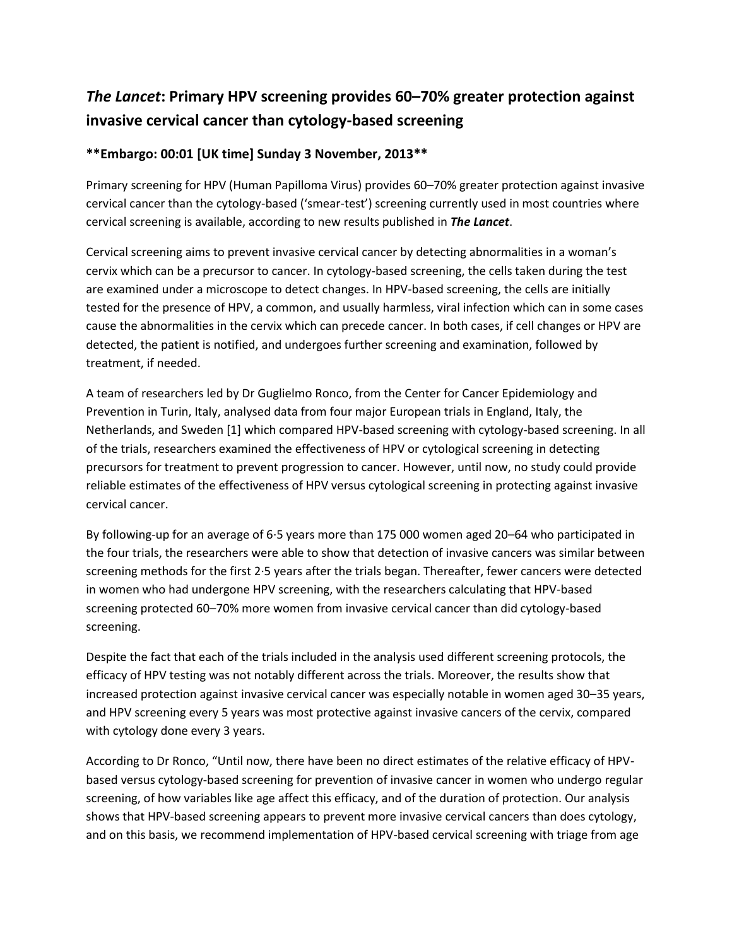## *The Lancet***: Primary HPV screening provides 60–70% greater protection against invasive cervical cancer than cytology-based screening**

## **\*\*Embargo: 00:01 [UK time] Sunday 3 November, 2013\*\***

Primary screening for HPV (Human Papilloma Virus) provides 60–70% greater protection against invasive cervical cancer than the cytology-based ('smear-test') screening currently used in most countries where cervical screening is available, according to new results published in *The Lancet*.

Cervical screening aims to prevent invasive cervical cancer by detecting abnormalities in a woman's cervix which can be a precursor to cancer. In cytology-based screening, the cells taken during the test are examined under a microscope to detect changes. In HPV-based screening, the cells are initially tested for the presence of HPV, a common, and usually harmless, viral infection which can in some cases cause the abnormalities in the cervix which can precede cancer. In both cases, if cell changes or HPV are detected, the patient is notified, and undergoes further screening and examination, followed by treatment, if needed.

A team of researchers led by Dr Guglielmo Ronco, from the Center for Cancer Epidemiology and Prevention in Turin, Italy, analysed data from four major European trials in England, Italy, the Netherlands, and Sweden [1] which compared HPV-based screening with cytology-based screening. In all of the trials, researchers examined the effectiveness of HPV or cytological screening in detecting precursors for treatment to prevent progression to cancer. However, until now, no study could provide reliable estimates of the effectiveness of HPV versus cytological screening in protecting against invasive cervical cancer.

By following-up for an average of 6·5 years more than 175 000 women aged 20–64 who participated in the four trials, the researchers were able to show that detection of invasive cancers was similar between screening methods for the first 2·5 years after the trials began. Thereafter, fewer cancers were detected in women who had undergone HPV screening, with the researchers calculating that HPV-based screening protected 60–70% more women from invasive cervical cancer than did cytology-based screening.

Despite the fact that each of the trials included in the analysis used different screening protocols, the efficacy of HPV testing was not notably different across the trials. Moreover, the results show that increased protection against invasive cervical cancer was especially notable in women aged 30–35 years, and HPV screening every 5 years was most protective against invasive cancers of the cervix, compared with cytology done every 3 years.

According to Dr Ronco, "Until now, there have been no direct estimates of the relative efficacy of HPVbased versus cytology-based screening for prevention of invasive cancer in women who undergo regular screening, of how variables like age affect this efficacy, and of the duration of protection. Our analysis shows that HPV-based screening appears to prevent more invasive cervical cancers than does cytology, and on this basis, we recommend implementation of HPV-based cervical screening with triage from age